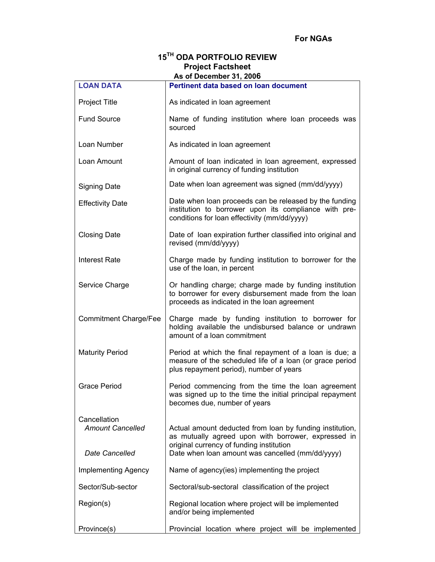# **15TH ODA PORTFOLIO REVIEW Project Factsheet As of December 31, 2006**

| <b>LOAN DATA</b>                                          | AS OF DECENTINERS 1, 2000<br>Pertinent data based on loan document                                                                                                                                              |
|-----------------------------------------------------------|-----------------------------------------------------------------------------------------------------------------------------------------------------------------------------------------------------------------|
|                                                           |                                                                                                                                                                                                                 |
| <b>Project Title</b>                                      | As indicated in loan agreement                                                                                                                                                                                  |
| <b>Fund Source</b>                                        | Name of funding institution where loan proceeds was<br>sourced                                                                                                                                                  |
| Loan Number                                               | As indicated in loan agreement                                                                                                                                                                                  |
| Loan Amount                                               | Amount of loan indicated in loan agreement, expressed<br>in original currency of funding institution                                                                                                            |
| <b>Signing Date</b>                                       | Date when loan agreement was signed (mm/dd/yyyy)                                                                                                                                                                |
| <b>Effectivity Date</b>                                   | Date when loan proceeds can be released by the funding<br>institution to borrower upon its compliance with pre-<br>conditions for loan effectivity (mm/dd/yyyy)                                                 |
| <b>Closing Date</b>                                       | Date of loan expiration further classified into original and<br>revised (mm/dd/yyyy)                                                                                                                            |
| <b>Interest Rate</b>                                      | Charge made by funding institution to borrower for the<br>use of the loan, in percent                                                                                                                           |
| Service Charge                                            | Or handling charge; charge made by funding institution<br>to borrower for every disbursement made from the loan<br>proceeds as indicated in the loan agreement                                                  |
| <b>Commitment Charge/Fee</b>                              | Charge made by funding institution to borrower for<br>holding available the undisbursed balance or undrawn<br>amount of a loan commitment                                                                       |
| <b>Maturity Period</b>                                    | Period at which the final repayment of a loan is due; a<br>measure of the scheduled life of a loan (or grace period<br>plus repayment period), number of years                                                  |
| <b>Grace Period</b>                                       | Period commencing from the time the loan agreement<br>was signed up to the time the initial principal repayment<br>becomes due, number of years                                                                 |
| Cancellation<br><b>Amount Cancelled</b><br>Date Cancelled | Actual amount deducted from loan by funding institution,<br>as mutually agreed upon with borrower, expressed in<br>original currency of funding institution<br>Date when loan amount was cancelled (mm/dd/yyyy) |
| <b>Implementing Agency</b>                                | Name of agency(ies) implementing the project                                                                                                                                                                    |
| Sector/Sub-sector                                         | Sectoral/sub-sectoral classification of the project                                                                                                                                                             |
| Region(s)                                                 | Regional location where project will be implemented<br>and/or being implemented                                                                                                                                 |
| Province(s)                                               | Provincial location where project will be implemented                                                                                                                                                           |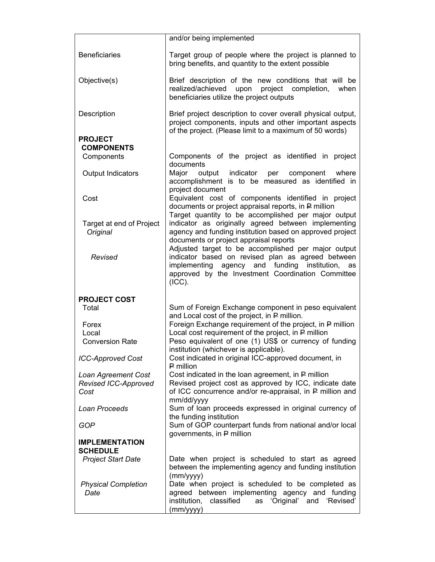|                                      | and/or being implemented                                                                                                                                                                                                      |
|--------------------------------------|-------------------------------------------------------------------------------------------------------------------------------------------------------------------------------------------------------------------------------|
| <b>Beneficiaries</b>                 | Target group of people where the project is planned to<br>bring benefits, and quantity to the extent possible                                                                                                                 |
| Objective(s)                         | Brief description of the new conditions that will be<br>project<br>realized/achieved<br>upon<br>completion,<br>when<br>beneficiaries utilize the project outputs                                                              |
| Description                          | Brief project description to cover overall physical output,<br>project components, inputs and other important aspects<br>of the project. (Please limit to a maximum of 50 words)                                              |
| <b>PROJECT</b>                       |                                                                                                                                                                                                                               |
| <b>COMPONENTS</b><br>Components      | Components of the project as identified in project                                                                                                                                                                            |
|                                      | documents                                                                                                                                                                                                                     |
| Output Indicators                    | Major<br>output<br>indicator<br>per<br>component<br>where<br>accomplishment is to be measured as identified in<br>project document                                                                                            |
| Cost                                 | Equivalent cost of components identified in project<br>documents or project appraisal reports, in P million<br>Target quantity to be accomplished per major output                                                            |
| Target at end of Project<br>Original | indicator as originally agreed between implementing<br>agency and funding institution based on approved project<br>documents or project appraisal reports                                                                     |
| Revised                              | Adjusted target to be accomplished per major output<br>indicator based on revised plan as agreed between<br>implementing agency and funding institution,<br>as<br>approved by the Investment Coordination Committee<br>(ICC). |
| <b>PROJECT COST</b>                  |                                                                                                                                                                                                                               |
| Total                                | Sum of Foreign Exchange component in peso equivalent<br>and Local cost of the project, in P million.                                                                                                                          |
| Forex                                | Foreign Exchange requirement of the project, in P million                                                                                                                                                                     |
| Local                                | Local cost requirement of the project, in P million                                                                                                                                                                           |
| <b>Conversion Rate</b>               | Peso equivalent of one (1) US\$ or currency of funding<br>institution (whichever is applicable).                                                                                                                              |
| <b>ICC-Approved Cost</b>             | Cost indicated in original ICC-approved document, in<br>$P$ million                                                                                                                                                           |
| Loan Agreement Cost                  | Cost indicated in the loan agreement, in P million                                                                                                                                                                            |
| Revised ICC-Approved                 | Revised project cost as approved by ICC, indicate date                                                                                                                                                                        |
| Cost                                 | of ICC concurrence and/or re-appraisal, in P million and<br>mm/dd/yyyy                                                                                                                                                        |
| Loan Proceeds                        | Sum of loan proceeds expressed in original currency of                                                                                                                                                                        |
| GOP                                  | the funding institution<br>Sum of GOP counterpart funds from national and/or local<br>governments, in P million                                                                                                               |
| <b>IMPLEMENTATION</b>                |                                                                                                                                                                                                                               |
| <b>SCHEDULE</b>                      | Date when project is scheduled to start as agreed                                                                                                                                                                             |
| <b>Project Start Date</b>            | between the implementing agency and funding institution<br>(mm/yyyy)                                                                                                                                                          |
| <b>Physical Completion</b>           | Date when project is scheduled to be completed as                                                                                                                                                                             |
| Date                                 | agreed between implementing agency and funding<br>institution,<br>as 'Original' and 'Revised'<br>classified<br>(mm/yyyy)                                                                                                      |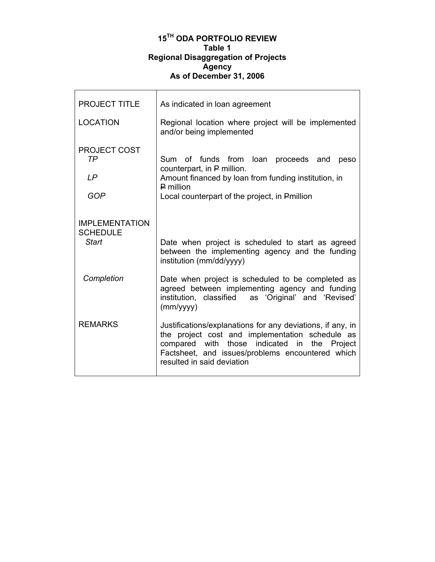## **15TH ODA PORTFOLIO REVIEW Table 1 Regional Disaggregation of Projects Agency As of December 31, 2006**

 $\mathsf{r}$ 

| <b>PROJECT TITLE</b>                              | As indicated in loan agreement                                                                                                                                                                                                                  |
|---------------------------------------------------|-------------------------------------------------------------------------------------------------------------------------------------------------------------------------------------------------------------------------------------------------|
| <b>LOCATION</b>                                   | Regional location where project will be implemented<br>and/or being implemented                                                                                                                                                                 |
| <b>PROJECT COST</b><br>TP<br>LP<br><b>GOP</b>     | Sum of funds from loan proceeds and<br>peso<br>counterpart, in P million.<br>Amount financed by loan from funding institution, in<br>$P$ million<br>Local counterpart of the project, in Pmillion                                               |
| <b>IMPLEMENTATION</b><br><b>SCHEDULE</b><br>Start | Date when project is scheduled to start as agreed<br>between the implementing agency and the funding<br>institution (mm/dd/yyyy)                                                                                                                |
| Completion                                        | Date when project is scheduled to be completed as<br>agreed between implementing agency and funding<br>institution, classified<br>as 'Original' and 'Revised'<br>(mm/yyy)                                                                       |
| <b>REMARKS</b>                                    | Justifications/explanations for any deviations, if any, in<br>the project cost and implementation schedule as<br>compared with those indicated in the Project<br>Factsheet, and issues/problems encountered which<br>resulted in said deviation |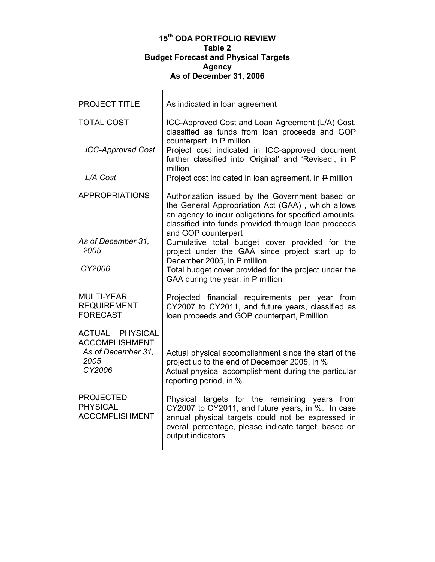#### **15th ODA PORTFOLIO REVIEW Table 2 Budget Forecast and Physical Targets Agency As of December 31, 2006**

| <b>PROJECT TITLE</b>                                                                    | As indicated in loan agreement                                                                                                                                                                                                               |
|-----------------------------------------------------------------------------------------|----------------------------------------------------------------------------------------------------------------------------------------------------------------------------------------------------------------------------------------------|
| <b>TOTAL COST</b>                                                                       | ICC-Approved Cost and Loan Agreement (L/A) Cost,<br>classified as funds from loan proceeds and GOP<br>counterpart, in P million                                                                                                              |
| <b>ICC-Approved Cost</b>                                                                | Project cost indicated in ICC-approved document<br>further classified into 'Original' and 'Revised', in P<br>million                                                                                                                         |
| L/A Cost                                                                                | Project cost indicated in loan agreement, in P million                                                                                                                                                                                       |
| <b>APPROPRIATIONS</b>                                                                   | Authorization issued by the Government based on<br>the General Appropriation Act (GAA), which allows<br>an agency to incur obligations for specified amounts,<br>classified into funds provided through loan proceeds<br>and GOP counterpart |
| As of December 31,<br>2005                                                              | Cumulative total budget cover provided for the<br>project under the GAA since project start up to<br>December 2005, in P million                                                                                                             |
| CY2006                                                                                  | Total budget cover provided for the project under the<br>GAA during the year, in P million                                                                                                                                                   |
| <b>MULTI-YEAR</b><br><b>REQUIREMENT</b><br><b>FORECAST</b>                              | Projected financial requirements per year from<br>CY2007 to CY2011, and future years, classified as<br>loan proceeds and GOP counterpart, Pmillion                                                                                           |
| <b>ACTUAL PHYSICAL</b><br><b>ACCOMPLISHMENT</b><br>As of December 31,<br>2005<br>CY2006 | Actual physical accomplishment since the start of the<br>project up to the end of December 2005, in %<br>Actual physical accomplishment during the particular<br>reporting period, in %.                                                     |
| <b>PROJECTED</b><br><b>PHYSICAL</b><br><b>ACCOMPLISHMENT</b>                            | Physical targets for the remaining years from<br>CY2007 to CY2011, and future years, in %. In case<br>annual physical targets could not be expressed in<br>overall percentage, please indicate target, based on<br>output indicators         |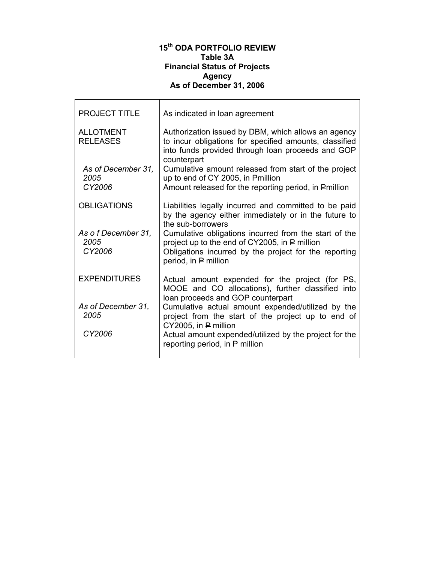# **15th ODA PORTFOLIO REVIEW Table 3A Financial Status of Projects Agency As of December 31, 2006**

| As indicated in loan agreement                                                                                                                                                          |
|-----------------------------------------------------------------------------------------------------------------------------------------------------------------------------------------|
| Authorization issued by DBM, which allows an agency<br>to incur obligations for specified amounts, classified<br>into funds provided through loan proceeds and GOP<br>counterpart       |
| Cumulative amount released from start of the project<br>up to end of CY 2005, in Pmillion<br>Amount released for the reporting period, in Pmillion                                      |
|                                                                                                                                                                                         |
| Liabilities legally incurred and committed to be paid<br>by the agency either immediately or in the future to<br>the sub-borrowers                                                      |
| Cumulative obligations incurred from the start of the<br>project up to the end of CY2005, in P million<br>Obligations incurred by the project for the reporting<br>period, in P million |
| Actual amount expended for the project (for PS,<br>MOOE and CO allocations), further classified into<br>loan proceeds and GOP counterpart                                               |
| Cumulative actual amount expended/utilized by the<br>project from the start of the project up to end of<br>$CY2005$ , in $P$ million                                                    |
| Actual amount expended/utilized by the project for the<br>reporting period, in P million                                                                                                |
|                                                                                                                                                                                         |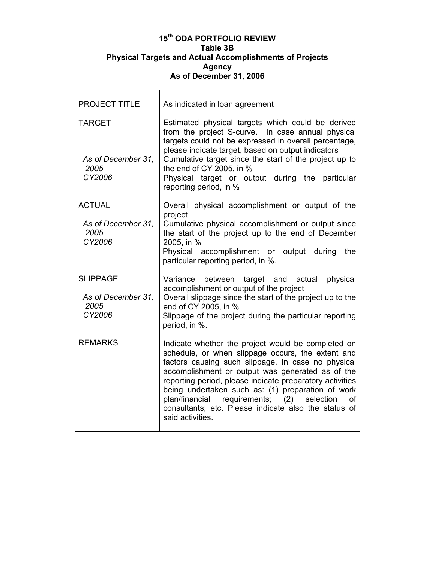#### **15th ODA PORTFOLIO REVIEW Table 3B Physical Targets and Actual Accomplishments of Projects Agency As of December 31, 2006**

| <b>PROJECT TITLE</b>                                    | As indicated in loan agreement                                                                                                                                                                                                                                                                                                                                                                                                                                              |
|---------------------------------------------------------|-----------------------------------------------------------------------------------------------------------------------------------------------------------------------------------------------------------------------------------------------------------------------------------------------------------------------------------------------------------------------------------------------------------------------------------------------------------------------------|
| <b>TARGET</b><br>As of December 31,<br>2005<br>CY2006   | Estimated physical targets which could be derived<br>from the project S-curve. In case annual physical<br>targets could not be expressed in overall percentage,<br>please indicate target, based on output indicators<br>Cumulative target since the start of the project up to<br>the end of CY 2005, in %<br>Physical target or output during the particular<br>reporting period, in %                                                                                    |
| <b>ACTUAL</b><br>As of December 31,<br>2005<br>CY2006   | Overall physical accomplishment or output of the<br>project<br>Cumulative physical accomplishment or output since<br>the start of the project up to the end of December<br>2005, in %<br>Physical<br>accomplishment or output during<br>the<br>particular reporting period, in %.                                                                                                                                                                                           |
| <b>SLIPPAGE</b><br>As of December 31,<br>2005<br>CY2006 | target and actual<br>physical<br>Variance<br>between<br>accomplishment or output of the project<br>Overall slippage since the start of the project up to the<br>end of CY 2005, in %<br>Slippage of the project during the particular reporting<br>period, in %.                                                                                                                                                                                                            |
| <b>REMARKS</b>                                          | Indicate whether the project would be completed on<br>schedule, or when slippage occurs, the extent and<br>factors causing such slippage. In case no physical<br>accomplishment or output was generated as of the<br>reporting period, please indicate preparatory activities<br>being undertaken such as: (1) preparation of work<br>requirements;<br>(2)<br>plan/financial<br>selection<br>οf<br>consultants; etc. Please indicate also the status of<br>said activities. |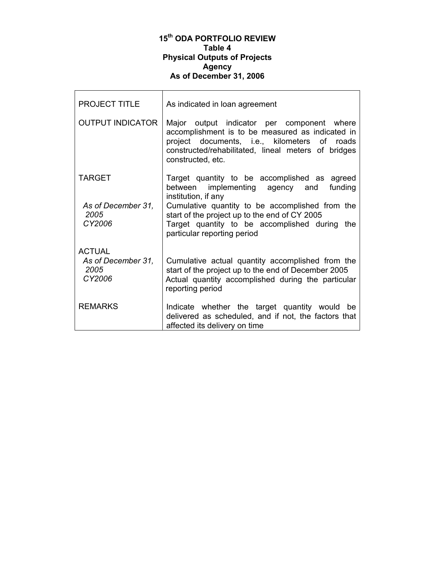#### **15th ODA PORTFOLIO REVIEW Table 4 Physical Outputs of Projects Agency As of December 31, 2006**

г

| <b>PROJECT TITLE</b>                 | As indicated in loan agreement                                                                                                                                                                                             |
|--------------------------------------|----------------------------------------------------------------------------------------------------------------------------------------------------------------------------------------------------------------------------|
| <b>OUTPUT INDICATOR</b>              | Major output indicator per component where<br>accomplishment is to be measured as indicated in<br>project documents, i.e., kilometers of roads<br>constructed/rehabilitated, lineal meters of bridges<br>constructed, etc. |
| <b>TARGET</b>                        | Target quantity to be accomplished as agreed<br>between implementing agency and<br>funding<br>institution, if any                                                                                                          |
| As of December 31,<br>2005<br>CY2006 | Cumulative quantity to be accomplished from the<br>start of the project up to the end of CY 2005<br>Target quantity to be accomplished during the<br>particular reporting period                                           |
| <b>ACTUAL</b>                        |                                                                                                                                                                                                                            |
| As of December 31.<br>2005<br>CY2006 | Cumulative actual quantity accomplished from the<br>start of the project up to the end of December 2005<br>Actual quantity accomplished during the particular<br>reporting period                                          |
| <b>REMARKS</b>                       | Indicate whether the target quantity would be<br>delivered as scheduled, and if not, the factors that<br>affected its delivery on time                                                                                     |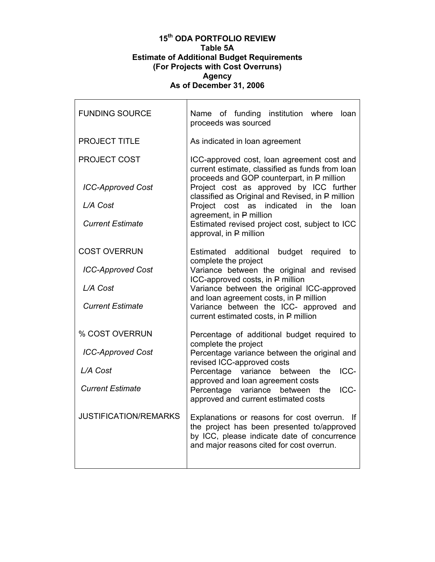#### **15th ODA PORTFOLIO REVIEW Table 5A Estimate of Additional Budget Requirements (For Projects with Cost Overruns) Agency As of December 31, 2006**

| <b>FUNDING SOURCE</b>        | Name of funding institution where<br>loan<br>proceeds was sourced                                                                                                                          |
|------------------------------|--------------------------------------------------------------------------------------------------------------------------------------------------------------------------------------------|
| <b>PROJECT TITLE</b>         | As indicated in loan agreement                                                                                                                                                             |
| <b>PROJECT COST</b>          | ICC-approved cost, loan agreement cost and<br>current estimate, classified as funds from loan<br>proceeds and GOP counterpart, in P million                                                |
| <b>ICC-Approved Cost</b>     | Project cost as approved by ICC further<br>classified as Original and Revised, in P million                                                                                                |
| L/A Cost                     | indicated<br>Project<br>cost as<br>in the<br>loan                                                                                                                                          |
| <b>Current Estimate</b>      | agreement, in P million<br>Estimated revised project cost, subject to ICC<br>approval, in P million                                                                                        |
| <b>COST OVERRUN</b>          | Estimated additional budget<br>required<br>to<br>complete the project                                                                                                                      |
| <b>ICC-Approved Cost</b>     | Variance between the original and revised<br>ICC-approved costs, in P million                                                                                                              |
| L/A Cost                     | Variance between the original ICC-approved                                                                                                                                                 |
| <b>Current Estimate</b>      | and loan agreement costs, in P million<br>Variance between the ICC- approved and<br>current estimated costs, in P million                                                                  |
| % COST OVERRUN               | Percentage of additional budget required to<br>complete the project                                                                                                                        |
| <b>ICC-Approved Cost</b>     | Percentage variance between the original and<br>revised ICC-approved costs                                                                                                                 |
| L/A Cost                     | ICC-<br>Percentage variance<br>between<br>the                                                                                                                                              |
| <b>Current Estimate</b>      | approved and loan agreement costs<br>Percentage variance<br>ICC-<br>between<br>the<br>approved and current estimated costs                                                                 |
| <b>JUSTIFICATION/REMARKS</b> | Explanations or reasons for cost overrun.<br>-lf<br>the project has been presented to/approved<br>by ICC, please indicate date of concurrence<br>and major reasons cited for cost overrun. |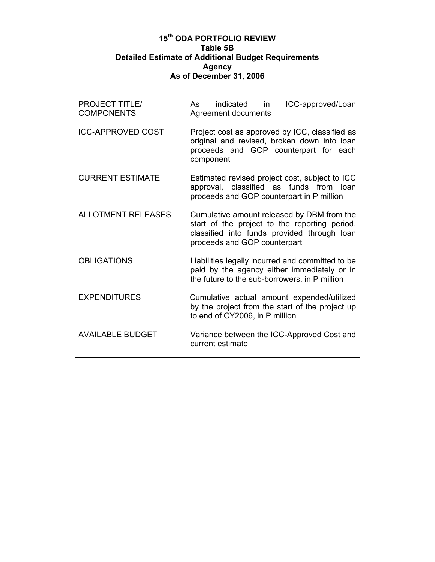## **15th ODA PORTFOLIO REVIEW Table 5B Detailed Estimate of Additional Budget Requirements Agency As of December 31, 2006**

| <b>PROJECT TITLE/</b><br><b>COMPONENTS</b> | indicated in<br>ICC-approved/Loan<br>As<br>Agreement documents                                                                                                             |
|--------------------------------------------|----------------------------------------------------------------------------------------------------------------------------------------------------------------------------|
| <b>ICC-APPROVED COST</b>                   | Project cost as approved by ICC, classified as<br>original and revised, broken down into loan<br>proceeds and GOP counterpart for each<br>component                        |
| <b>CURRENT ESTIMATE</b>                    | Estimated revised project cost, subject to ICC<br>approval, classified as funds from loan<br>proceeds and GOP counterpart in P million                                     |
| <b>ALLOTMENT RELEASES</b>                  | Cumulative amount released by DBM from the<br>start of the project to the reporting period,<br>classified into funds provided through loan<br>proceeds and GOP counterpart |
| <b>OBLIGATIONS</b>                         | Liabilities legally incurred and committed to be<br>paid by the agency either immediately or in<br>the future to the sub-borrowers, in $P$ million                         |
| <b>EXPENDITURES</b>                        | Cumulative actual amount expended/utilized<br>by the project from the start of the project up<br>to end of CY2006, in P million                                            |
| <b>AVAILABLE BUDGET</b>                    | Variance between the ICC-Approved Cost and<br>current estimate                                                                                                             |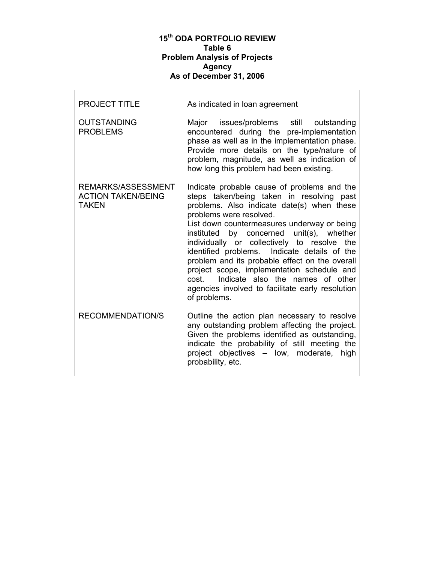#### **15th ODA PORTFOLIO REVIEW Table 6 Problem Analysis of Projects Agency As of December 31, 2006**

г

| <b>PROJECT TITLE</b>                                            | As indicated in loan agreement                                                                                                                                                                                                                                                                                                                                                                                                                                                                                                                                               |
|-----------------------------------------------------------------|------------------------------------------------------------------------------------------------------------------------------------------------------------------------------------------------------------------------------------------------------------------------------------------------------------------------------------------------------------------------------------------------------------------------------------------------------------------------------------------------------------------------------------------------------------------------------|
| <b>OUTSTANDING</b><br><b>PROBLEMS</b>                           | Major issues/problems still outstanding<br>encountered during the pre-implementation<br>phase as well as in the implementation phase.<br>Provide more details on the type/nature of<br>problem, magnitude, as well as indication of<br>how long this problem had been existing.                                                                                                                                                                                                                                                                                              |
| REMARKS/ASSESSMENT<br><b>ACTION TAKEN/BEING</b><br><b>TAKEN</b> | Indicate probable cause of problems and the<br>steps taken/being taken in resolving past<br>problems. Also indicate date(s) when these<br>problems were resolved.<br>List down countermeasures underway or being<br>instituted by concerned unit(s), whether<br>individually or collectively to resolve the<br>identified problems. Indicate details of the<br>problem and its probable effect on the overall<br>project scope, implementation schedule and<br>Indicate also the names of other<br>cost.<br>agencies involved to facilitate early resolution<br>of problems. |
| <b>RECOMMENDATION/S</b>                                         | Outline the action plan necessary to resolve<br>any outstanding problem affecting the project.<br>Given the problems identified as outstanding,<br>indicate the probability of still meeting the<br>project objectives - low, moderate, high<br>probability, etc.                                                                                                                                                                                                                                                                                                            |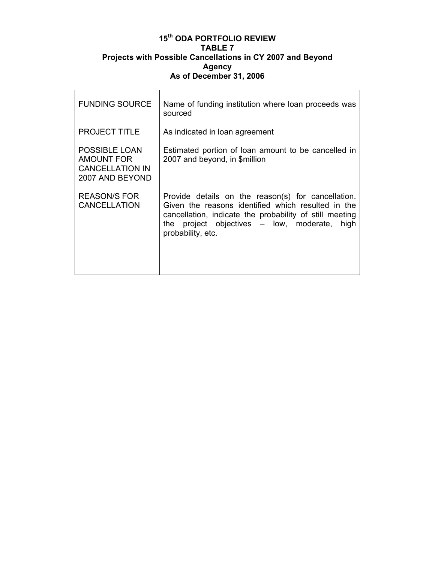### **15th ODA PORTFOLIO REVIEW TABLE 7 Projects with Possible Cancellations in CY 2007 and Beyond Agency As of December 31, 2006**

 $\mathsf{r}$ 

| <b>FUNDING SOURCE</b>                                                                  | Name of funding institution where loan proceeds was<br>sourced                                                                                                                                                                                |
|----------------------------------------------------------------------------------------|-----------------------------------------------------------------------------------------------------------------------------------------------------------------------------------------------------------------------------------------------|
| <b>PROJECT TITLE</b>                                                                   | As indicated in loan agreement                                                                                                                                                                                                                |
| <b>POSSIBLE LOAN</b><br><b>AMOUNT FOR</b><br><b>CANCELLATION IN</b><br>2007 AND BEYOND | Estimated portion of loan amount to be cancelled in<br>2007 and beyond, in \$million                                                                                                                                                          |
| <b>REASON/S FOR</b><br><b>CANCELLATION</b>                                             | Provide details on the reason(s) for cancellation.<br>Given the reasons identified which resulted in the<br>cancellation, indicate the probability of still meeting<br>the project objectives $-$ low, moderate,<br>high<br>probability, etc. |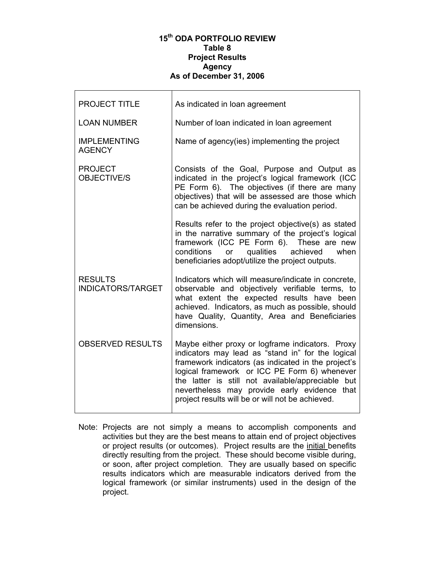#### **15th ODA PORTFOLIO REVIEW Table 8 Project Results Agency As of December 31, 2006**

| <b>PROJECT TITLE</b>                       | As indicated in loan agreement                                                                                                                                                                                                                                                                                                                                        |
|--------------------------------------------|-----------------------------------------------------------------------------------------------------------------------------------------------------------------------------------------------------------------------------------------------------------------------------------------------------------------------------------------------------------------------|
| <b>LOAN NUMBER</b>                         | Number of loan indicated in loan agreement                                                                                                                                                                                                                                                                                                                            |
| <b>IMPLEMENTING</b><br><b>AGENCY</b>       | Name of agency(ies) implementing the project                                                                                                                                                                                                                                                                                                                          |
| <b>PROJECT</b><br><b>OBJECTIVE/S</b>       | Consists of the Goal, Purpose and Output as<br>indicated in the project's logical framework (ICC<br>PE Form 6). The objectives (if there are many<br>objectives) that will be assessed are those which<br>can be achieved during the evaluation period.                                                                                                               |
|                                            | Results refer to the project objective(s) as stated<br>in the narrative summary of the project's logical<br>framework (ICC PE Form 6). These are new<br>conditions<br>qualities achieved<br>or<br>when<br>beneficiaries adopt/utilize the project outputs.                                                                                                            |
| <b>RESULTS</b><br><b>INDICATORS/TARGET</b> | Indicators which will measure/indicate in concrete,<br>observable and objectively verifiable terms, to<br>what extent the expected results have been<br>achieved. Indicators, as much as possible, should<br>have Quality, Quantity, Area and Beneficiaries<br>dimensions.                                                                                            |
| <b>OBSERVED RESULTS</b>                    | Maybe either proxy or logframe indicators. Proxy<br>indicators may lead as "stand in" for the logical<br>framework indicators (as indicated in the project's<br>logical framework or ICC PE Form 6) whenever<br>the latter is still not available/appreciable but<br>nevertheless may provide early evidence that<br>project results will be or will not be achieved. |

Note: Projects are not simply a means to accomplish components and activities but they are the best means to attain end of project objectives or project results (or outcomes). Project results are the initial benefits directly resulting from the project. These should become visible during, or soon, after project completion. They are usually based on specific results indicators which are measurable indicators derived from the logical framework (or similar instruments) used in the design of the project.